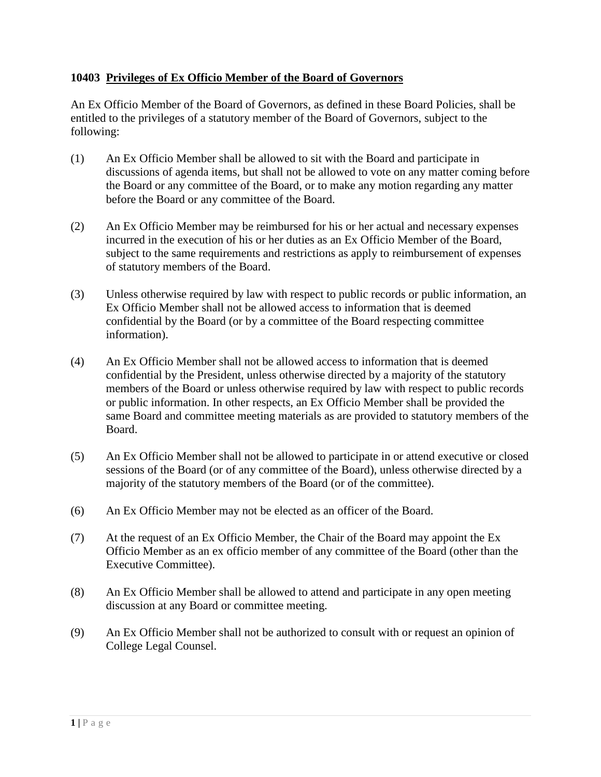## **10403 Privileges of Ex Officio Member of the Board of Governors**

An Ex Officio Member of the Board of Governors, as defined in these Board Policies, shall be entitled to the privileges of a statutory member of the Board of Governors, subject to the following:

- (1) An Ex Officio Member shall be allowed to sit with the Board and participate in discussions of agenda items, but shall not be allowed to vote on any matter coming before the Board or any committee of the Board, or to make any motion regarding any matter before the Board or any committee of the Board.
- (2) An Ex Officio Member may be reimbursed for his or her actual and necessary expenses incurred in the execution of his or her duties as an Ex Officio Member of the Board, subject to the same requirements and restrictions as apply to reimbursement of expenses of statutory members of the Board.
- (3) Unless otherwise required by law with respect to public records or public information, an Ex Officio Member shall not be allowed access to information that is deemed confidential by the Board (or by a committee of the Board respecting committee information).
- (4) An Ex Officio Member shall not be allowed access to information that is deemed confidential by the President, unless otherwise directed by a majority of the statutory members of the Board or unless otherwise required by law with respect to public records or public information. In other respects, an Ex Officio Member shall be provided the same Board and committee meeting materials as are provided to statutory members of the Board.
- (5) An Ex Officio Member shall not be allowed to participate in or attend executive or closed sessions of the Board (or of any committee of the Board), unless otherwise directed by a majority of the statutory members of the Board (or of the committee).
- (6) An Ex Officio Member may not be elected as an officer of the Board.
- (7) At the request of an Ex Officio Member, the Chair of the Board may appoint the Ex Officio Member as an ex officio member of any committee of the Board (other than the Executive Committee).
- (8) An Ex Officio Member shall be allowed to attend and participate in any open meeting discussion at any Board or committee meeting.
- (9) An Ex Officio Member shall not be authorized to consult with or request an opinion of College Legal Counsel.